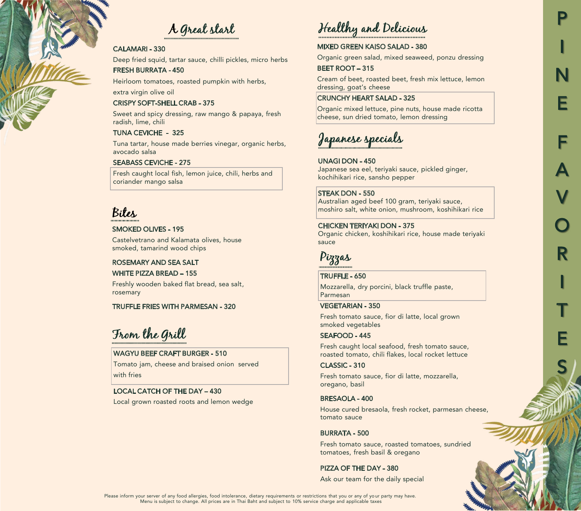# A Great start

#### CALAMARI - 330

Deep fried squid, tartar sauce, chilli pickles, micro herbs FRESH BURRATA - 450

Heirloom tomatoes, roasted pumpkin with herbs,

extra virgin olive oil

#### CRISPY SOFT-SHELL CRAB - 375

Sweet and spicy dressing, raw mango & papaya, fresh radish, lime, chili

#### TUNA CEVICHE - 325

Tuna tartar, house made berries vinegar, organic herbs, avocado salsa

#### SEABASS CEVICHE - 275

Fresh caught local fish, lemon juice, chili, herbs and coriander mango salsa

# Bites

#### SMOKED OLIVES - 195

Castelvetrano and Kalamata olives, house smoked, tamarind wood chips

#### ROSEMARY AND SEA SALT

WHITE PIZZA BREAD – 155

Freshly wooden baked flat bread, sea salt, rosemary

#### TRUFFLE FRIES WITH PARMESAN - 320

From the Grill

### WAGYU BEEF CRAFT BURGER - 510

Tomato jam, cheese and braised onion served with fries

#### LOCAL CATCH OF THE DAY – 430

Local grown roasted roots and lemon wedge

# Healthy and Delicious

#### MIXED GREEN KAISO SALAD - 380

Organic green salad, mixed seaweed, ponzu dressing

P

I

N

E

F

A

V

O

R

I

T

E

S

#### BEET ROOT – 315

Cream of beet, roasted beet, fresh mix lettuce, lemon dressing, goat's cheese

#### CRUNCHY HEART SALAD - 325

Organic mixed lettuce, pine nuts, house made ricotta cheese, sun dried tomato, lemon dressing

# Japanese specials

#### UNAGI DON - 450

Japanese sea eel, teriyaki sauce, pickled ginger, kochihikari rice, sansho pepper

#### STEAK DON - 550

Australian aged beef 100 gram, teriyaki sauce, moshiro salt, white onion, mushroom, koshihikari rice

#### CHICKEN TERIYAKI DON - 375

Organic chicken, koshihikari rice, house made teriyaki sauce



#### TRUFFLE - 650

Mozzarella, dry porcini, black truffle paste, Parmesan

#### VEGETARIAN - 350

Fresh tomato sauce, fior di latte, local grown smoked vegetables

#### SEAFOOD - 445

Fresh caught local seafood, fresh tomato sauce, roasted tomato, chili flakes, local rocket lettuce

#### CLASSIC - 310

Fresh tomato sauce, fior di latte, mozzarella, oregano, basil

#### BRESAOLA - 400

House cured bresaola, fresh rocket, parmesan cheese, tomato sauce

#### BURRATA - 500

Fresh tomato sauce, roasted tomatoes, sundried tomatoes, fresh basil & oregano

#### PIZZA OF THE DAY - 380

Ask our team for the daily special

Please inform your server of any food allergies, food intolerance, dietary requirements or restrictions that you or any of your party may have. Menu is subject to change. All prices are in Thai Baht and subject to 10% service charge and applicable taxes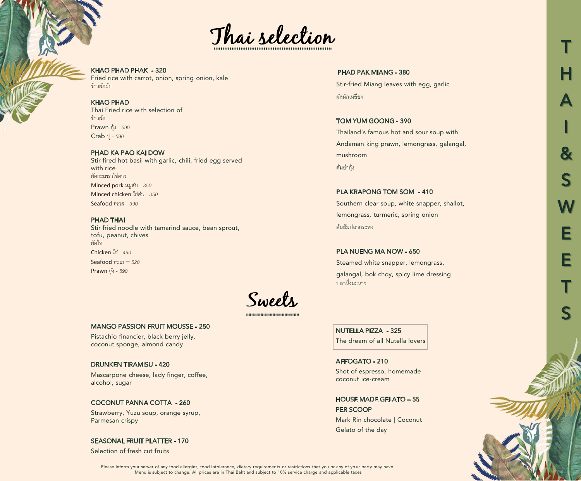

KHAO PHAD PHAK - 320 Fried rice with carrot, onion, spring onion, kale ข้าวผัดผัก

KHAO PHAD Thai Fried rice with selection of ข้าวผัด Prawn กุ้ง *- 590* Crab ปู*- 590*

PHAD KA PAO KAI DOW Stir fired hot basil with garlic, chili, fried egg served with rice ผัดกะเพราไข่ดาว Minced pork *หมูสบั - 350* Minced chicken *ไก่สับ - 350* Seafood *ทะเล - 390*

#### PHAD THAI

Stir fried noodle with tamarind sauce, bean sprout, tofu, peanut, chives ผัดไท Chicken *ไก่ - 490* Seafood *ทะเล – 520* Prawn *กุ้ง - 590*

Sweets

#### MANGO PASSION FRUIT MOUSSE - 250

Pistachio financier, black berry jelly, coconut sponge, almond candy

#### DRUNKEN TIRAMISU - 420

Mascarpone cheese, lady finger, coffee, alcohol, sugar

#### COCONUT PANNA COTTA - 260

Strawberry, Yuzu soup, orange syrup, Parmesan crispy

#### SEASONAL FRUIT PLATTER - 170

Selection of fresh cut fruits

PHAD PAK MIANG - 380 Stir-fried Miang leaves with egg, garlic

ผัดผักเหลียง

TOM YUM GOONG - 390 Thailand's famous hot and sour soup with Andaman king prawn, lemongrass, galangal, mushroom ต้มยํากุ้ง

PLA KRAPONG TOM SOM - 410

Southern clear soup, white snapper, shallot, lemongrass, turmeric, spring onion ต้มส้มปลากระพง

#### PLA NUENG MA NOW - 650

Steamed white snapper, lemongrass, galangal, bok choy, spicy lime dressing ปลานึ�งมะนาว

NUTELLA PIZZA - 325 The dream of all Nutella lovers

AFFOGATO - 210 Shot of espresso, homemade coconut ice-cream

HOUSE MADE GELATO – 55 PER SCOOP

Mark Rin chocolate | Coconut Gelato of the day

T H A I & S **W** E E T S

Please inform your server of any food allergies, food intolerance, dietary requirements or restrictions that you or any of your party may have. Menu is subject to change. All prices are in Thai Baht and subject to 10% service charge and applicable taxes